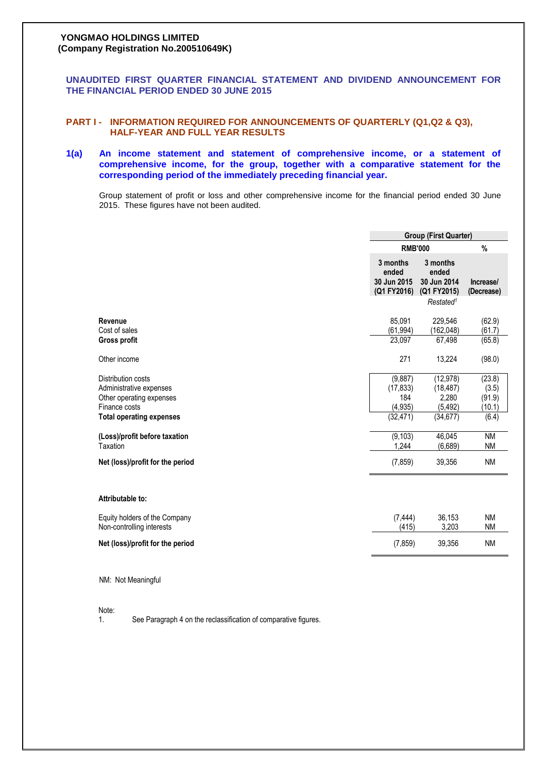# **YONGMAO HOLDINGS LIMITED (Company Registration No.200510649K)**

**UNAUDITED FIRST QUARTER FINANCIAL STATEMENT AND DIVIDEND ANNOUNCEMENT FOR THE FINANCIAL PERIOD ENDED 30 JUNE 2015**

# **PART I - INFORMATION REQUIRED FOR ANNOUNCEMENTS OF QUARTERLY (Q1,Q2 & Q3), HALF-YEAR AND FULL YEAR RESULTS**

# **1(a) An income statement and statement of comprehensive income, or a statement of comprehensive income, for the group, together with a comparative statement for the corresponding period of the immediately preceding financial year.**

Group statement of profit or loss and other comprehensive income for the financial period ended 30 June 2015. These figures have not been audited.

|                                                                                                                               | <b>Group (First Quarter)</b>                         |                                                                          |                                              |  |
|-------------------------------------------------------------------------------------------------------------------------------|------------------------------------------------------|--------------------------------------------------------------------------|----------------------------------------------|--|
|                                                                                                                               | <b>RMB'000</b>                                       |                                                                          | $\%$                                         |  |
|                                                                                                                               | 3 months<br>ended<br>30 Jun 2015<br>(Q1 FY2016)      | 3 months<br>ended<br>30 Jun 2014<br>(Q1 FY2015)<br>Restated <sup>1</sup> | Increase/<br>(Decrease)                      |  |
| Revenue<br>Cost of sales                                                                                                      | 85,091<br>(61, 994)                                  | 229,546<br>(162, 048)                                                    | (62.9)<br>(61.7)                             |  |
| <b>Gross profit</b>                                                                                                           | 23,097                                               | 67,498                                                                   | (65.8)                                       |  |
| Other income                                                                                                                  | 271                                                  | 13,224                                                                   | (98.0)                                       |  |
| Distribution costs<br>Administrative expenses<br>Other operating expenses<br>Finance costs<br><b>Total operating expenses</b> | (9,887)<br>(17, 833)<br>184<br>(4, 935)<br>(32, 471) | (12, 978)<br>(18, 487)<br>2,280<br>(5, 492)<br>(34, 677)                 | (23.8)<br>(3.5)<br>(91.9)<br>(10.1)<br>(6.4) |  |
| (Loss)/profit before taxation<br>Taxation                                                                                     | (9, 103)<br>1,244                                    | 46,045<br>(6,689)                                                        | <b>NM</b><br><b>NM</b>                       |  |
| Net (loss)/profit for the period                                                                                              | (7, 859)                                             | 39,356                                                                   | <b>NM</b>                                    |  |
| Attributable to:                                                                                                              |                                                      |                                                                          |                                              |  |
| Equity holders of the Company<br>Non-controlling interests                                                                    | (7, 444)<br>(415)                                    | 36,153<br>3,203                                                          | <b>NM</b><br><b>NM</b>                       |  |
| Net (loss)/profit for the period                                                                                              | (7, 859)                                             | 39,356                                                                   | <b>NM</b>                                    |  |

NM: Not Meaningful

Note:

1. See Paragraph 4 on the reclassification of comparative figures.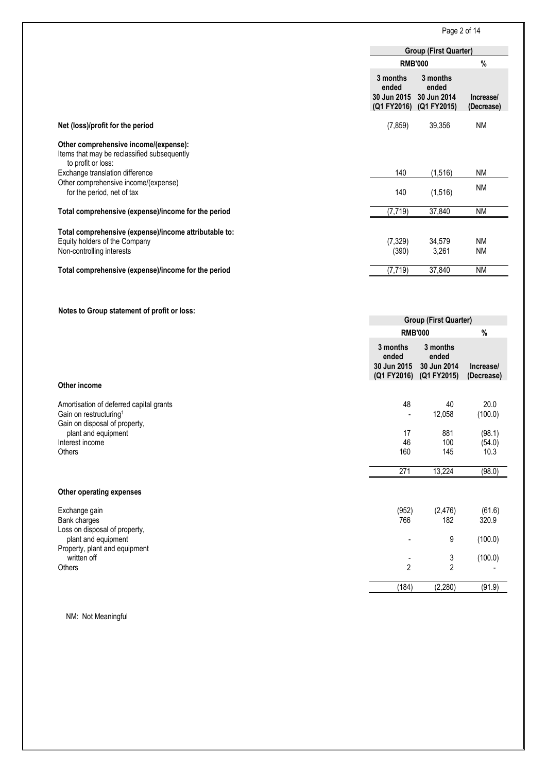Page 2 of 14

| <b>Group (First Quarter)</b><br>$\%$<br><b>RMB'000</b><br>3 months<br>3 months<br>ended<br>ended<br>30 Jun 2015<br>30 Jun 2014<br>(Q1 FY2016) (Q1 FY2015)<br>(7, 859)<br><b>NM</b><br>Net (loss)/profit for the period<br>39,356<br>Other comprehensive income/(expense):<br>Items that may be reclassified subsequently<br>to profit or loss:<br>Exchange translation difference<br>140<br>(1, 516)<br><b>NM</b><br>Other comprehensive income/(expense)<br><b>NM</b><br>for the period, net of tax<br>140<br>(1, 516)<br>(7, 719)<br>37,840<br><b>NM</b><br>Total comprehensive (expense)/income for the period<br>Total comprehensive (expense)/income attributable to:<br>Equity holders of the Company<br>(7, 329)<br>34,579<br><b>NM</b><br>Non-controlling interests<br>(390)<br>3,261<br><b>NM</b><br><b>NM</b><br>(7, 719)<br>37,840<br>Notes to Group statement of profit or loss:<br><b>Group (First Quarter)</b><br><b>RMB'000</b><br>$\%$<br>3 months<br>3 months<br>ended<br>ended<br>30 Jun 2014<br>30 Jun 2015<br>(Q1 FY2016) (Q1 FY2015)<br>Other income<br>48<br>40<br>20.0<br>Amortisation of deferred capital grants<br>Gain on restructuring <sup>1</sup><br>12,058<br>$\overline{\phantom{a}}$<br>Gain on disposal of property,<br>17<br>881<br>plant and equipment<br>46<br>100<br>(54.0)<br>Interest income<br>Others<br>160<br>145<br>10.3<br>271<br>13,224<br>(98.0)<br>Other operating expenses<br>(2, 476)<br>(952)<br>Exchange gain<br>Bank charges<br>766<br>182<br>Loss on disposal of property,<br>9<br>plant and equipment<br>Property, plant and equipment<br>written off<br>3<br>2<br>$\overline{2}$<br>Others<br>(184)<br>(2, 280)<br>(91.9) |                                                     |                         |  |  |
|----------------------------------------------------------------------------------------------------------------------------------------------------------------------------------------------------------------------------------------------------------------------------------------------------------------------------------------------------------------------------------------------------------------------------------------------------------------------------------------------------------------------------------------------------------------------------------------------------------------------------------------------------------------------------------------------------------------------------------------------------------------------------------------------------------------------------------------------------------------------------------------------------------------------------------------------------------------------------------------------------------------------------------------------------------------------------------------------------------------------------------------------------------------------------------------------------------------------------------------------------------------------------------------------------------------------------------------------------------------------------------------------------------------------------------------------------------------------------------------------------------------------------------------------------------------------------------------------------------------------------------------------------------------------------------|-----------------------------------------------------|-------------------------|--|--|
|                                                                                                                                                                                                                                                                                                                                                                                                                                                                                                                                                                                                                                                                                                                                                                                                                                                                                                                                                                                                                                                                                                                                                                                                                                                                                                                                                                                                                                                                                                                                                                                                                                                                                  |                                                     |                         |  |  |
|                                                                                                                                                                                                                                                                                                                                                                                                                                                                                                                                                                                                                                                                                                                                                                                                                                                                                                                                                                                                                                                                                                                                                                                                                                                                                                                                                                                                                                                                                                                                                                                                                                                                                  |                                                     |                         |  |  |
|                                                                                                                                                                                                                                                                                                                                                                                                                                                                                                                                                                                                                                                                                                                                                                                                                                                                                                                                                                                                                                                                                                                                                                                                                                                                                                                                                                                                                                                                                                                                                                                                                                                                                  |                                                     | Increase/<br>(Decrease) |  |  |
|                                                                                                                                                                                                                                                                                                                                                                                                                                                                                                                                                                                                                                                                                                                                                                                                                                                                                                                                                                                                                                                                                                                                                                                                                                                                                                                                                                                                                                                                                                                                                                                                                                                                                  |                                                     |                         |  |  |
|                                                                                                                                                                                                                                                                                                                                                                                                                                                                                                                                                                                                                                                                                                                                                                                                                                                                                                                                                                                                                                                                                                                                                                                                                                                                                                                                                                                                                                                                                                                                                                                                                                                                                  |                                                     |                         |  |  |
|                                                                                                                                                                                                                                                                                                                                                                                                                                                                                                                                                                                                                                                                                                                                                                                                                                                                                                                                                                                                                                                                                                                                                                                                                                                                                                                                                                                                                                                                                                                                                                                                                                                                                  |                                                     |                         |  |  |
|                                                                                                                                                                                                                                                                                                                                                                                                                                                                                                                                                                                                                                                                                                                                                                                                                                                                                                                                                                                                                                                                                                                                                                                                                                                                                                                                                                                                                                                                                                                                                                                                                                                                                  |                                                     |                         |  |  |
|                                                                                                                                                                                                                                                                                                                                                                                                                                                                                                                                                                                                                                                                                                                                                                                                                                                                                                                                                                                                                                                                                                                                                                                                                                                                                                                                                                                                                                                                                                                                                                                                                                                                                  |                                                     |                         |  |  |
|                                                                                                                                                                                                                                                                                                                                                                                                                                                                                                                                                                                                                                                                                                                                                                                                                                                                                                                                                                                                                                                                                                                                                                                                                                                                                                                                                                                                                                                                                                                                                                                                                                                                                  |                                                     |                         |  |  |
|                                                                                                                                                                                                                                                                                                                                                                                                                                                                                                                                                                                                                                                                                                                                                                                                                                                                                                                                                                                                                                                                                                                                                                                                                                                                                                                                                                                                                                                                                                                                                                                                                                                                                  | Total comprehensive (expense)/income for the period |                         |  |  |
|                                                                                                                                                                                                                                                                                                                                                                                                                                                                                                                                                                                                                                                                                                                                                                                                                                                                                                                                                                                                                                                                                                                                                                                                                                                                                                                                                                                                                                                                                                                                                                                                                                                                                  |                                                     |                         |  |  |
|                                                                                                                                                                                                                                                                                                                                                                                                                                                                                                                                                                                                                                                                                                                                                                                                                                                                                                                                                                                                                                                                                                                                                                                                                                                                                                                                                                                                                                                                                                                                                                                                                                                                                  |                                                     | Increase/<br>(Decrease) |  |  |
|                                                                                                                                                                                                                                                                                                                                                                                                                                                                                                                                                                                                                                                                                                                                                                                                                                                                                                                                                                                                                                                                                                                                                                                                                                                                                                                                                                                                                                                                                                                                                                                                                                                                                  |                                                     |                         |  |  |
|                                                                                                                                                                                                                                                                                                                                                                                                                                                                                                                                                                                                                                                                                                                                                                                                                                                                                                                                                                                                                                                                                                                                                                                                                                                                                                                                                                                                                                                                                                                                                                                                                                                                                  |                                                     | (100.0)                 |  |  |
|                                                                                                                                                                                                                                                                                                                                                                                                                                                                                                                                                                                                                                                                                                                                                                                                                                                                                                                                                                                                                                                                                                                                                                                                                                                                                                                                                                                                                                                                                                                                                                                                                                                                                  |                                                     | (98.1)                  |  |  |
|                                                                                                                                                                                                                                                                                                                                                                                                                                                                                                                                                                                                                                                                                                                                                                                                                                                                                                                                                                                                                                                                                                                                                                                                                                                                                                                                                                                                                                                                                                                                                                                                                                                                                  |                                                     |                         |  |  |
|                                                                                                                                                                                                                                                                                                                                                                                                                                                                                                                                                                                                                                                                                                                                                                                                                                                                                                                                                                                                                                                                                                                                                                                                                                                                                                                                                                                                                                                                                                                                                                                                                                                                                  |                                                     |                         |  |  |
|                                                                                                                                                                                                                                                                                                                                                                                                                                                                                                                                                                                                                                                                                                                                                                                                                                                                                                                                                                                                                                                                                                                                                                                                                                                                                                                                                                                                                                                                                                                                                                                                                                                                                  |                                                     |                         |  |  |
|                                                                                                                                                                                                                                                                                                                                                                                                                                                                                                                                                                                                                                                                                                                                                                                                                                                                                                                                                                                                                                                                                                                                                                                                                                                                                                                                                                                                                                                                                                                                                                                                                                                                                  |                                                     |                         |  |  |
|                                                                                                                                                                                                                                                                                                                                                                                                                                                                                                                                                                                                                                                                                                                                                                                                                                                                                                                                                                                                                                                                                                                                                                                                                                                                                                                                                                                                                                                                                                                                                                                                                                                                                  |                                                     | (61.6)<br>320.9         |  |  |
|                                                                                                                                                                                                                                                                                                                                                                                                                                                                                                                                                                                                                                                                                                                                                                                                                                                                                                                                                                                                                                                                                                                                                                                                                                                                                                                                                                                                                                                                                                                                                                                                                                                                                  |                                                     | (100.0)                 |  |  |
|                                                                                                                                                                                                                                                                                                                                                                                                                                                                                                                                                                                                                                                                                                                                                                                                                                                                                                                                                                                                                                                                                                                                                                                                                                                                                                                                                                                                                                                                                                                                                                                                                                                                                  |                                                     | (100.0)                 |  |  |
|                                                                                                                                                                                                                                                                                                                                                                                                                                                                                                                                                                                                                                                                                                                                                                                                                                                                                                                                                                                                                                                                                                                                                                                                                                                                                                                                                                                                                                                                                                                                                                                                                                                                                  |                                                     |                         |  |  |

NM: Not Meaningful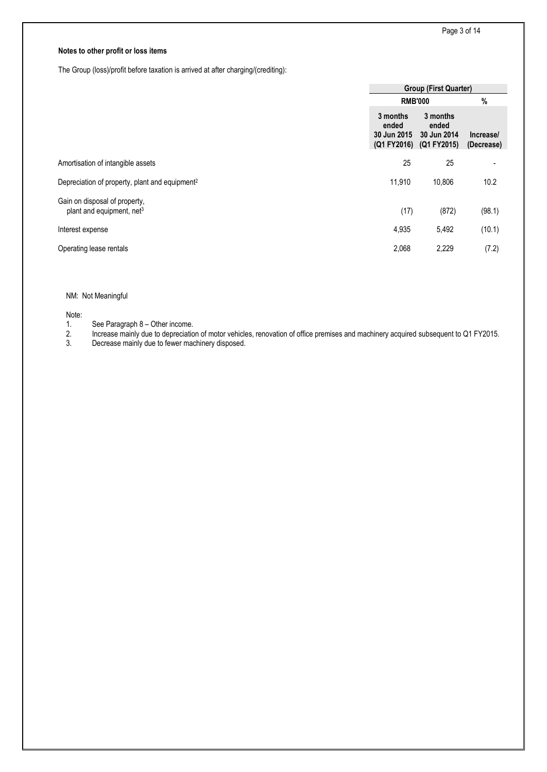# **Notes to other profit or loss items**

The Group (loss)/profit before taxation is arrived at after charging/(crediting):

|                                                                        | <b>Group (First Quarter)</b>                                |                                  |                         |  |
|------------------------------------------------------------------------|-------------------------------------------------------------|----------------------------------|-------------------------|--|
|                                                                        | <b>RMB'000</b>                                              | $\%$                             |                         |  |
|                                                                        | 3 months<br>ended<br>30 Jun 2015<br>(Q1 FY2016) (Q1 FY2015) | 3 months<br>ended<br>30 Jun 2014 | Increase/<br>(Decrease) |  |
| Amortisation of intangible assets                                      | 25                                                          | 25                               |                         |  |
| Depreciation of property, plant and equipment <sup>2</sup>             | 11,910                                                      | 10,806                           | 10.2                    |  |
| Gain on disposal of property,<br>plant and equipment, net <sup>3</sup> | (17)                                                        | (872)                            | (98.1)                  |  |
| Interest expense                                                       | 4,935                                                       | 5,492                            | (10.1)                  |  |
| Operating lease rentals                                                | 2,068                                                       | 2,229                            | (7.2)                   |  |

# NM: Not Meaningful

Note:

1. See Paragraph 8 – Other income.<br>2. Increase mainly due to depreciation 2. Increase mainly due to depreciation of motor vehicles, renovation of office premises and machinery acquired subsequent to Q1 FY2015.

Decrease mainly due to fewer machinery disposed.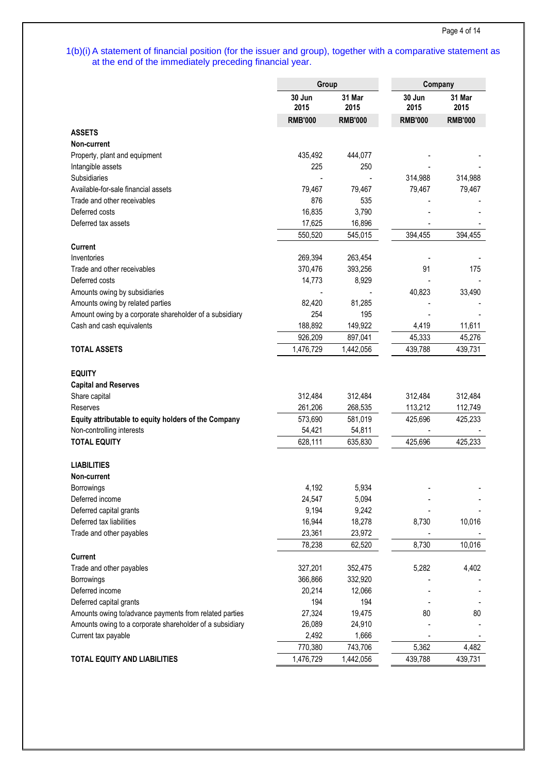# 1(b)(i) A statement of financial position (for the issuer and group), together with a comparative statement as at the end of the immediately preceding financial year.

|                                                          | Group          |                |                | Company        |  |  |
|----------------------------------------------------------|----------------|----------------|----------------|----------------|--|--|
|                                                          | 30 Jun<br>2015 | 31 Mar<br>2015 | 30 Jun<br>2015 | 31 Mar<br>2015 |  |  |
|                                                          | <b>RMB'000</b> | <b>RMB'000</b> | <b>RMB'000</b> | <b>RMB'000</b> |  |  |
| <b>ASSETS</b>                                            |                |                |                |                |  |  |
| Non-current                                              |                |                |                |                |  |  |
| Property, plant and equipment                            | 435,492        | 444,077        |                |                |  |  |
| Intangible assets                                        | 225            | 250            |                |                |  |  |
| Subsidiaries                                             | ÷,             |                | 314,988        | 314,988        |  |  |
| Available-for-sale financial assets                      | 79,467         | 79,467         | 79,467         | 79,467         |  |  |
| Trade and other receivables                              | 876            | 535            |                |                |  |  |
| Deferred costs                                           | 16,835         | 3,790          |                |                |  |  |
| Deferred tax assets                                      | 17,625         | 16,896         |                |                |  |  |
|                                                          | 550,520        | 545,015        | 394,455        | 394,455        |  |  |
| <b>Current</b>                                           |                |                |                |                |  |  |
| Inventories                                              | 269,394        | 263,454        |                |                |  |  |
| Trade and other receivables                              | 370,476        | 393,256        | 91             | 175            |  |  |
| Deferred costs                                           | 14,773         | 8,929          |                |                |  |  |
| Amounts owing by subsidiaries                            |                |                | 40,823         | 33,490         |  |  |
| Amounts owing by related parties                         | 82,420         | 81,285         |                |                |  |  |
| Amount owing by a corporate shareholder of a subsidiary  | 254            | 195            |                |                |  |  |
| Cash and cash equivalents                                | 188,892        | 149,922        | 4,419          | 11,611         |  |  |
|                                                          | 926,209        | 897,041        | 45,333         | 45,276         |  |  |
| <b>TOTAL ASSETS</b>                                      | 1,476,729      | 1,442,056      | 439,788        | 439,731        |  |  |
|                                                          |                |                |                |                |  |  |
| <b>EQUITY</b>                                            |                |                |                |                |  |  |
| <b>Capital and Reserves</b>                              |                |                |                |                |  |  |
| Share capital                                            | 312,484        | 312,484        | 312,484        | 312,484        |  |  |
| Reserves                                                 | 261,206        | 268,535        | 113,212        | 112,749        |  |  |
| Equity attributable to equity holders of the Company     | 573,690        | 581,019        | 425,696        | 425,233        |  |  |
| Non-controlling interests                                | 54,421         | 54,811         |                |                |  |  |
| <b>TOTAL EQUITY</b>                                      | 628,111        | 635,830        | 425,696        | 425,233        |  |  |
|                                                          |                |                |                |                |  |  |
| <b>LIABILITIES</b>                                       |                |                |                |                |  |  |
| Non-current                                              |                |                |                |                |  |  |
| Borrowings                                               | 4,192          | 5,934          |                |                |  |  |
| Deferred income                                          | 24,547         | 5,094          |                |                |  |  |
| Deferred capital grants                                  | 9,194          | 9,242          |                |                |  |  |
| Deferred tax liabilities                                 | 16,944         | 18,278         | 8,730          | 10,016         |  |  |
| Trade and other payables                                 | 23,361         | 23,972         |                |                |  |  |
|                                                          | 78,238         | 62,520         | 8,730          | 10,016         |  |  |
| <b>Current</b>                                           |                |                |                |                |  |  |
| Trade and other payables                                 | 327,201        | 352,475        | 5,282          | 4,402          |  |  |
| Borrowings                                               | 366,866        | 332,920        |                |                |  |  |
| Deferred income                                          | 20,214         | 12,066         |                |                |  |  |
| Deferred capital grants                                  | 194            | 194            |                |                |  |  |
| Amounts owing to/advance payments from related parties   | 27,324         | 19,475         | 80             | 80             |  |  |
| Amounts owing to a corporate shareholder of a subsidiary | 26,089         | 24,910         |                |                |  |  |
| Current tax payable                                      | 2,492          | 1,666          |                |                |  |  |
|                                                          | 770,380        | 743,706        | 5,362          | 4,482          |  |  |
| <b>TOTAL EQUITY AND LIABILITIES</b>                      | 1,476,729      | 1,442,056      | 439,788        | 439,731        |  |  |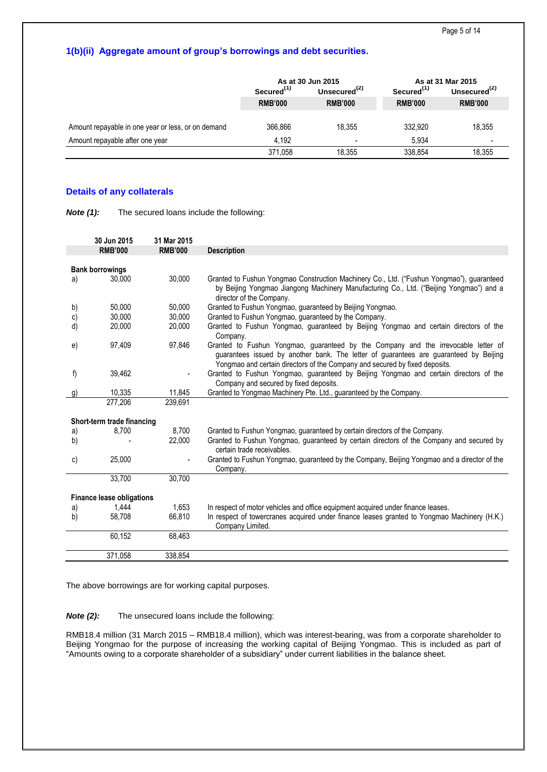# **1(b)(ii) Aggregate amount of group's borrowings and debt securities.**

|                                                    |                        | As at 30 Jun 2015 | As at 31 Mar 2015      |                          |  |
|----------------------------------------------------|------------------------|-------------------|------------------------|--------------------------|--|
|                                                    | Secured <sup>(1)</sup> | Unsecured $(2)$   | Secured <sup>(1)</sup> | Unsecured <sup>(2)</sup> |  |
|                                                    | <b>RMB'000</b>         | <b>RMB'000</b>    | <b>RMB'000</b>         | <b>RMB'000</b>           |  |
|                                                    |                        |                   |                        |                          |  |
| Amount repayable in one year or less, or on demand | 366,866                | 18.355            | 332.920                | 18.355                   |  |
| Amount repayable after one year                    | 4.192                  | -                 | 5.934                  |                          |  |
|                                                    | 371.058                | 18.355            | 338.854                | 18.355                   |  |

# **Details of any collaterals**

|  | Note $(1)$ : | The secured loans include the following: |
|--|--------------|------------------------------------------|
|--|--------------|------------------------------------------|

|          | 30 Jun 2015                      | 31 Mar 2015    |                                                                                                                                                                                                                                                            |
|----------|----------------------------------|----------------|------------------------------------------------------------------------------------------------------------------------------------------------------------------------------------------------------------------------------------------------------------|
|          | <b>RMB'000</b>                   | <b>RMB'000</b> | <b>Description</b>                                                                                                                                                                                                                                         |
|          |                                  |                |                                                                                                                                                                                                                                                            |
|          | <b>Bank borrowings</b>           |                |                                                                                                                                                                                                                                                            |
| a)       | 30,000                           | 30,000         | Granted to Fushun Yongmao Construction Machinery Co., Ltd. ("Fushun Yongmao"), guaranteed<br>by Beijing Yongmao Jiangong Machinery Manufacturing Co., Ltd. ("Beijing Yongmao") and a<br>director of the Company.                                           |
| b)       | 50,000                           | 50,000         | Granted to Fushun Yongmao, guaranteed by Beijing Yongmao.                                                                                                                                                                                                  |
| c)       | 30,000                           | 30,000         | Granted to Fushun Yongmao, guaranteed by the Company.                                                                                                                                                                                                      |
| d)       | 20,000                           | 20,000         | Granted to Fushun Yongmao, guaranteed by Beijing Yongmao and certain directors of the<br>Company.                                                                                                                                                          |
| e)       | 97,409                           | 97,846         | Granted to Fushun Yongmao, guaranteed by the Company and the irrevocable letter of<br>guarantees issued by another bank. The letter of guarantees are guaranteed by Beijing<br>Yongmao and certain directors of the Company and secured by fixed deposits. |
| f)       | 39,462                           |                | Granted to Fushun Yongmao, guaranteed by Beijing Yongmao and certain directors of the<br>Company and secured by fixed deposits.                                                                                                                            |
| g)       | 10,335                           | 11,845         | Granted to Yongmao Machinery Pte. Ltd., guaranteed by the Company.                                                                                                                                                                                         |
|          | 277,206                          | 239,691        |                                                                                                                                                                                                                                                            |
|          | Short-term trade financing       |                |                                                                                                                                                                                                                                                            |
|          | 8,700                            | 8.700          | Granted to Fushun Yongmao, guaranteed by certain directors of the Company.                                                                                                                                                                                 |
| a)<br>b) |                                  | 22,000         | Granted to Fushun Yongmao, guaranteed by certain directors of the Company and secured by<br>certain trade receivables.                                                                                                                                     |
| c)       | 25,000                           |                | Granted to Fushun Yongmao, guaranteed by the Company, Beijing Yongmao and a director of the<br>Company.                                                                                                                                                    |
|          | 33,700                           | 30,700         |                                                                                                                                                                                                                                                            |
|          |                                  |                |                                                                                                                                                                                                                                                            |
|          | <b>Finance lease obligations</b> |                |                                                                                                                                                                                                                                                            |
| a)       | 1,444                            | 1,653          | In respect of motor vehicles and office equipment acquired under finance leases.                                                                                                                                                                           |
| b)       | 58,708                           | 66,810         | In respect of towercranes acquired under finance leases granted to Yongmao Machinery (H.K.)<br>Company Limited.                                                                                                                                            |
|          | 60,152                           | 68,463         |                                                                                                                                                                                                                                                            |
|          | 371,058                          | 338,854        |                                                                                                                                                                                                                                                            |

The above borrowings are for working capital purposes.

**Note (2):** The unsecured loans include the following:

RMB18.4 million (31 March 2015 – RMB18.4 million), which was interest-bearing, was from a corporate shareholder to Beijing Yongmao for the purpose of increasing the working capital of Beijing Yongmao. This is included as part of "Amounts owing to a corporate shareholder of a subsidiary" under current liabilities in the balance sheet.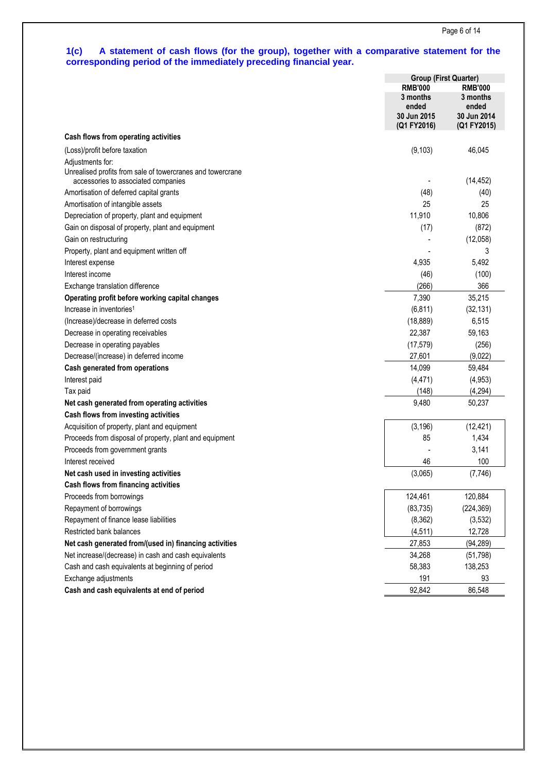## **1(c) A statement of cash flows (for the group), together with a comparative statement for the corresponding period of the immediately preceding financial year.**

|                                                                                                                       | <b>Group (First Quarter)</b>                                             |                                                                   |  |
|-----------------------------------------------------------------------------------------------------------------------|--------------------------------------------------------------------------|-------------------------------------------------------------------|--|
|                                                                                                                       | <b>RMB'000</b><br>3 months<br>ended<br><b>30 Jun 2015</b><br>(Q1 FY2016) | <b>RMB'000</b><br>3 months<br>ended<br>30 Jun 2014<br>(Q1 FY2015) |  |
| Cash flows from operating activities                                                                                  |                                                                          |                                                                   |  |
| (Loss)/profit before taxation                                                                                         | (9, 103)                                                                 | 46,045                                                            |  |
| Adjustments for:<br>Unrealised profits from sale of towercranes and towercrane<br>accessories to associated companies |                                                                          | (14, 452)                                                         |  |
| Amortisation of deferred capital grants                                                                               | (48)                                                                     | (40)                                                              |  |
| Amortisation of intangible assets                                                                                     | 25                                                                       | 25                                                                |  |
| Depreciation of property, plant and equipment                                                                         | 11,910                                                                   | 10,806                                                            |  |
| Gain on disposal of property, plant and equipment                                                                     | (17)                                                                     | (872)                                                             |  |
| Gain on restructuring                                                                                                 |                                                                          | (12,058)                                                          |  |
| Property, plant and equipment written off                                                                             |                                                                          | 3                                                                 |  |
| Interest expense                                                                                                      | 4,935                                                                    | 5,492                                                             |  |
| Interest income                                                                                                       | (46)                                                                     | (100)                                                             |  |
| Exchange translation difference                                                                                       | (266)                                                                    | 366                                                               |  |
| Operating profit before working capital changes                                                                       | 7,390                                                                    | 35,215                                                            |  |
| Increase in inventories <sup>1</sup>                                                                                  | (6, 811)                                                                 | (32, 131)                                                         |  |
| (Increase)/decrease in deferred costs                                                                                 | (18, 889)                                                                | 6,515                                                             |  |
| Decrease in operating receivables                                                                                     | 22,387                                                                   | 59,163                                                            |  |
| Decrease in operating payables                                                                                        | (17, 579)                                                                | (256)                                                             |  |
| Decrease/(increase) in deferred income                                                                                | 27,601                                                                   | (9,022)                                                           |  |
| Cash generated from operations                                                                                        | 14,099                                                                   | 59,484                                                            |  |
| Interest paid                                                                                                         | (4, 471)                                                                 | (4,953)                                                           |  |
| Tax paid                                                                                                              | (148)                                                                    | (4, 294)                                                          |  |
| Net cash generated from operating activities                                                                          | 9,480                                                                    | 50,237                                                            |  |
| Cash flows from investing activities                                                                                  |                                                                          |                                                                   |  |
| Acquisition of property, plant and equipment                                                                          | (3, 196)                                                                 | (12, 421)                                                         |  |
| Proceeds from disposal of property, plant and equipment                                                               | 85                                                                       | 1,434                                                             |  |
| Proceeds from government grants                                                                                       |                                                                          | 3,141                                                             |  |
| Interest received                                                                                                     | 46                                                                       | 100                                                               |  |
| Net cash used in investing activities                                                                                 | (3,065)                                                                  | (7,746)                                                           |  |
| Cash flows from financing activities                                                                                  |                                                                          |                                                                   |  |
| Proceeds from borrowings                                                                                              | 124,461                                                                  | 120,884                                                           |  |
| Repayment of borrowings                                                                                               | (83, 735)                                                                | (224, 369)                                                        |  |
| Repayment of finance lease liabilities                                                                                | (8, 362)                                                                 | (3,532)                                                           |  |
| Restricted bank balances                                                                                              | (4, 511)                                                                 | 12,728                                                            |  |
| Net cash generated from/(used in) financing activities                                                                | 27,853                                                                   | (94, 289)                                                         |  |
| Net increase/(decrease) in cash and cash equivalents                                                                  | 34,268                                                                   | (51, 798)                                                         |  |
| Cash and cash equivalents at beginning of period                                                                      | 58,383                                                                   | 138,253                                                           |  |
| Exchange adjustments                                                                                                  | 191                                                                      | 93                                                                |  |
| Cash and cash equivalents at end of period                                                                            | 92,842                                                                   | 86,548                                                            |  |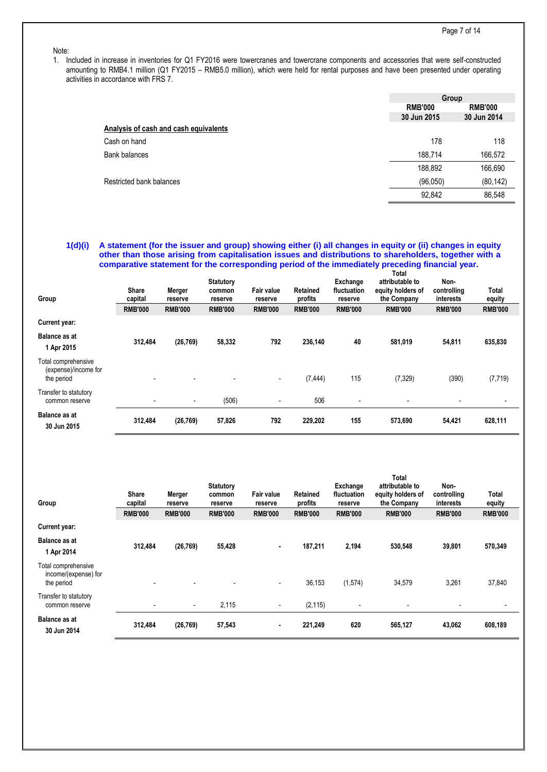#### Note:

1. Included in increase in inventories for Q1 FY2016 were towercranes and towercrane components and accessories that were self-constructed amounting to RMB4.1 million (Q1 FY2015 – RMB5.0 million), which were held for rental purposes and have been presented under operating activities in accordance with FRS 7.

|                                       | Group          |                |
|---------------------------------------|----------------|----------------|
|                                       | <b>RMB'000</b> | <b>RMB'000</b> |
|                                       | 30 Jun 2015    | 30 Jun 2014    |
| Analysis of cash and cash equivalents |                |                |
| Cash on hand                          | 178            | 118            |
| Bank balances                         | 188,714        | 166,572        |
|                                       | 188,892        | 166,690        |
| Restricted bank balances              | (96,050)       | (80, 142)      |
|                                       | 92,842         | 86,548         |

## **1(d)(i) A statement (for the issuer and group) showing either (i) all changes in equity or (ii) changes in equity other than those arising from capitalisation issues and distributions to shareholders, together with a comparative statement for the corresponding period of the immediately preceding financial year.**

| Group                                                     | <b>Share</b><br>capital<br><b>RMB'000</b> | Merger<br>reserve<br><b>RMB'000</b> | <b>Statutory</b><br>common<br>reserve<br><b>RMB'000</b> | Fair value<br>reserve<br><b>RMB'000</b> | <b>Retained</b><br>profits<br><b>RMB'000</b> | Exchange<br>fluctuation<br>reserve<br><b>RMB'000</b> | Total<br>attributable to<br>equity holders of<br>the Company<br><b>RMB'000</b> | Non-<br>controlling<br>interests<br><b>RMB'000</b> | Total<br>equity<br><b>RMB'000</b> |
|-----------------------------------------------------------|-------------------------------------------|-------------------------------------|---------------------------------------------------------|-----------------------------------------|----------------------------------------------|------------------------------------------------------|--------------------------------------------------------------------------------|----------------------------------------------------|-----------------------------------|
| Current year:                                             |                                           |                                     |                                                         |                                         |                                              |                                                      |                                                                                |                                                    |                                   |
| <b>Balance as at</b><br>1 Apr 2015                        | 312,484                                   | (26, 769)                           | 58,332                                                  | 792                                     | 236,140                                      | 40                                                   | 581,019                                                                        | 54,811                                             | 635,830                           |
| Total comprehensive<br>(expense)/income for<br>the period | $\overline{\phantom{0}}$                  |                                     | $\overline{\phantom{a}}$                                | $\sim$                                  | (7, 444)                                     | 115                                                  | (7, 329)                                                                       | (390)                                              | (7, 719)                          |
| Transfer to statutory<br>common reserve                   | $\overline{\phantom{a}}$                  | $\overline{\phantom{a}}$            | (506)                                                   | $\overline{\phantom{a}}$                | 506                                          | ٠                                                    | $\overline{\phantom{a}}$                                                       |                                                    |                                   |
| <b>Balance as at</b><br>30 Jun 2015                       | 312,484                                   | (26, 769)                           | 57,826                                                  | 792                                     | 229,202                                      | 155                                                  | 573,690                                                                        | 54,421                                             | 628,111                           |

| Group                                                     | <b>Share</b><br>capital<br><b>RMB'000</b> | Merger<br>reserve<br><b>RMB'000</b> | <b>Statutory</b><br>common<br>reserve<br><b>RMB'000</b> | <b>Fair value</b><br>reserve<br><b>RMB'000</b> | Retained<br>profits<br><b>RMB'000</b> | Exchange<br>fluctuation<br>reserve<br><b>RMB'000</b> | Total<br>attributable to<br>equity holders of<br>the Company<br><b>RMB'000</b> | Non-<br>controlling<br>interests<br><b>RMB'000</b> | Total<br>equity<br><b>RMB'000</b> |
|-----------------------------------------------------------|-------------------------------------------|-------------------------------------|---------------------------------------------------------|------------------------------------------------|---------------------------------------|------------------------------------------------------|--------------------------------------------------------------------------------|----------------------------------------------------|-----------------------------------|
| Current year:                                             |                                           |                                     |                                                         |                                                |                                       |                                                      |                                                                                |                                                    |                                   |
| <b>Balance as at</b><br>1 Apr 2014                        | 312,484                                   | (26, 769)                           | 55,428                                                  | ۰.                                             | 187,211                               | 2,194                                                | 530,548                                                                        | 39,801                                             | 570,349                           |
| Total comprehensive<br>income/(expense) for<br>the period | $\overline{\phantom{a}}$                  | $\blacksquare$                      | $\overline{\phantom{a}}$                                | $\overline{\phantom{a}}$                       | 36,153                                | (1,574)                                              | 34,579                                                                         | 3,261                                              | 37,840                            |
| Transfer to statutory<br>common reserve                   | $\overline{\phantom{a}}$                  | $\overline{\phantom{a}}$            | 2,115                                                   | $\overline{\phantom{a}}$                       | (2, 115)                              | $\overline{a}$                                       | $\blacksquare$                                                                 |                                                    |                                   |
| <b>Balance as at</b><br>30 Jun 2014                       | 312,484                                   | (26, 769)                           | 57,543                                                  |                                                | 221,249                               | 620                                                  | 565,127                                                                        | 43,062                                             | 608,189                           |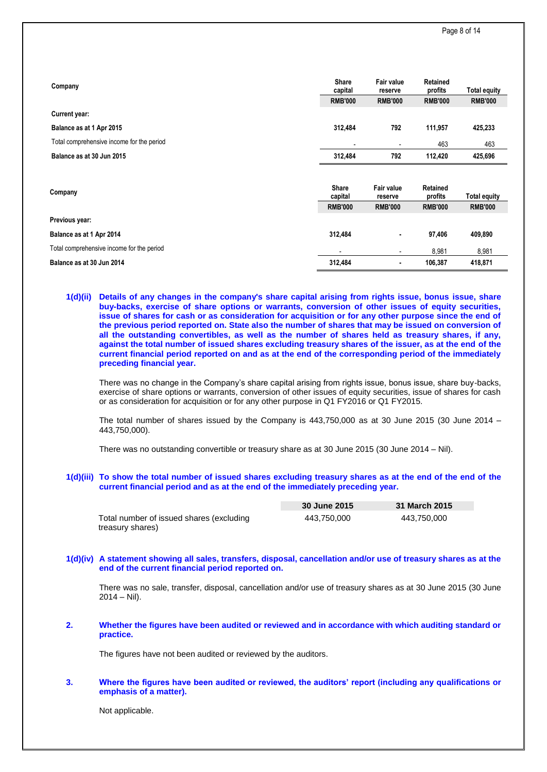| Company                                   | <b>Share</b><br>capital | <b>Fair value</b><br>reserve | Retained<br>profits | <b>Total equity</b> |
|-------------------------------------------|-------------------------|------------------------------|---------------------|---------------------|
|                                           | <b>RMB'000</b>          | <b>RMB'000</b>               | <b>RMB'000</b>      | <b>RMB'000</b>      |
| Current year:                             |                         |                              |                     |                     |
| Balance as at 1 Apr 2015                  | 312,484                 | 792                          | 111,957             | 425,233             |
| Total comprehensive income for the period |                         | $\overline{\phantom{a}}$     | 463                 | 463                 |
| Balance as at 30 Jun 2015                 | 312,484                 | 792                          | 112,420             | 425,696             |
| Company                                   | <b>Share</b><br>capital | <b>Fair value</b><br>reserve | Retained<br>profits | <b>Total equity</b> |
|                                           | <b>RMB'000</b>          | <b>RMB'000</b>               | <b>RMB'000</b>      | <b>RMB'000</b>      |
| Previous year:                            |                         |                              |                     |                     |
| Balance as at 1 Apr 2014                  | 312,484                 | ٠                            | 97,406              | 409,890             |
| Total comprehensive income for the period |                         | $\overline{\phantom{a}}$     | 8,981               | 8,981               |
| Balance as at 30 Jun 2014                 | 312,484                 | ٠                            | 106,387             | 418,871             |

#### **1(d)(ii) Details of any changes in the company's share capital arising from rights issue, bonus issue, share buy-backs, exercise of share options or warrants, conversion of other issues of equity securities, issue of shares for cash or as consideration for acquisition or for any other purpose since the end of the previous period reported on. State also the number of shares that may be issued on conversion of all the outstanding convertibles, as well as the number of shares held as treasury shares, if any, against the total number of issued shares excluding treasury shares of the issuer, as at the end of the current financial period reported on and as at the end of the corresponding period of the immediately preceding financial year.**

There was no change in the Company's share capital arising from rights issue, bonus issue, share buy-backs, exercise of share options or warrants, conversion of other issues of equity securities, issue of shares for cash or as consideration for acquisition or for any other purpose in Q1 FY2016 or Q1 FY2015.

The total number of shares issued by the Company is  $443,750,000$  as at 30 June 2015 (30 June 2014 – 443,750,000).

There was no outstanding convertible or treasury share as at 30 June 2015 (30 June 2014 – Nil).

## **1(d)(iii) To show the total number of issued shares excluding treasury shares as at the end of the end of the current financial period and as at the end of the immediately preceding year.**

|                                          | 30 June 2015 | 31 March 2015 |
|------------------------------------------|--------------|---------------|
| Total number of issued shares (excluding | 443.750.000  | 443.750.000   |
| treasury shares)                         |              |               |

## **1(d)(iv) A statement showing all sales, transfers, disposal, cancellation and/or use of treasury shares as at the end of the current financial period reported on.**

There was no sale, transfer, disposal, cancellation and/or use of treasury shares as at 30 June 2015 (30 June  $2014 -$  Nil).

#### **2. Whether the figures have been audited or reviewed and in accordance with which auditing standard or practice.**

The figures have not been audited or reviewed by the auditors.

#### **3. Where the figures have been audited or reviewed, the auditors' report (including any qualifications or emphasis of a matter).**

Not applicable.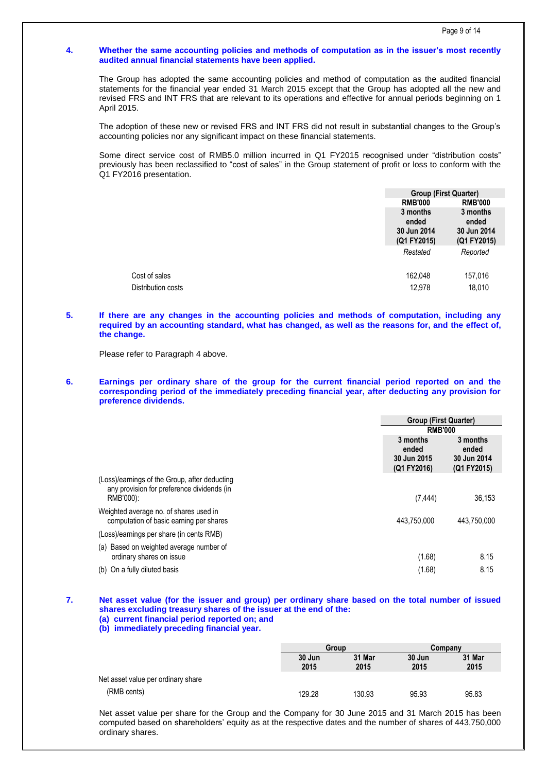#### **4. Whether the same accounting policies and methods of computation as in the issuer's most recently audited annual financial statements have been applied.**

The Group has adopted the same accounting policies and method of computation as the audited financial statements for the financial year ended 31 March 2015 except that the Group has adopted all the new and revised FRS and INT FRS that are relevant to its operations and effective for annual periods beginning on 1 April 2015.

The adoption of these new or revised FRS and INT FRS did not result in substantial changes to the Group's accounting policies nor any significant impact on these financial statements.

Some direct service cost of RMB5.0 million incurred in Q1 FY2015 recognised under "distribution costs" previously has been reclassified to "cost of sales" in the Group statement of profit or loss to conform with the Q1 FY2016 presentation.

| <b>RMB'000</b>                                  |
|-------------------------------------------------|
| 3 months<br>ended<br>30 Jun 2014<br>(Q1 FY2015) |
|                                                 |

## **5. If there are any changes in the accounting policies and methods of computation, including any required by an accounting standard, what has changed, as well as the reasons for, and the effect of, the change.**

Please refer to Paragraph 4 above.

**6. Earnings per ordinary share of the group for the current financial period reported on and the corresponding period of the immediately preceding financial year, after deducting any provision for preference dividends.**

|                                                                                                          | <b>Group (First Quarter)</b><br><b>RMB'000</b>  |                                                 |
|----------------------------------------------------------------------------------------------------------|-------------------------------------------------|-------------------------------------------------|
|                                                                                                          |                                                 |                                                 |
|                                                                                                          | 3 months<br>ended<br>30 Jun 2015<br>(Q1 FY2016) | 3 months<br>ended<br>30 Jun 2014<br>(Q1 FY2015) |
| (Loss)/earnings of the Group, after deducting<br>any provision for preference dividends (in<br>RMB'000): | (7, 444)                                        | 36,153                                          |
| Weighted average no. of shares used in<br>computation of basic earning per shares                        | 443.750.000                                     | 443.750.000                                     |
| (Loss)/earnings per share (in cents RMB)                                                                 |                                                 |                                                 |
| (a) Based on weighted average number of<br>ordinary shares on issue                                      | (1.68)                                          | 8.15                                            |
| (b) On a fully diluted basis                                                                             | (1.68)                                          | 8.15                                            |

# **7. Net asset value (for the issuer and group) per ordinary share based on the total number of issued shares excluding treasury shares of the issuer at the end of the:**

**(a) current financial period reported on; and (b) immediately preceding financial year.**

**Group Company 30 Jun 2015 31 Mar 2015 30 Jun 2015 31 Mar 2015** Net asset value per ordinary share (RMB cents) 129.28 130.93 95.93 95.83

Net asset value per share for the Group and the Company for 30 June 2015 and 31 March 2015 has been computed based on shareholders' equity as at the respective dates and the number of shares of 443,750,000 ordinary shares.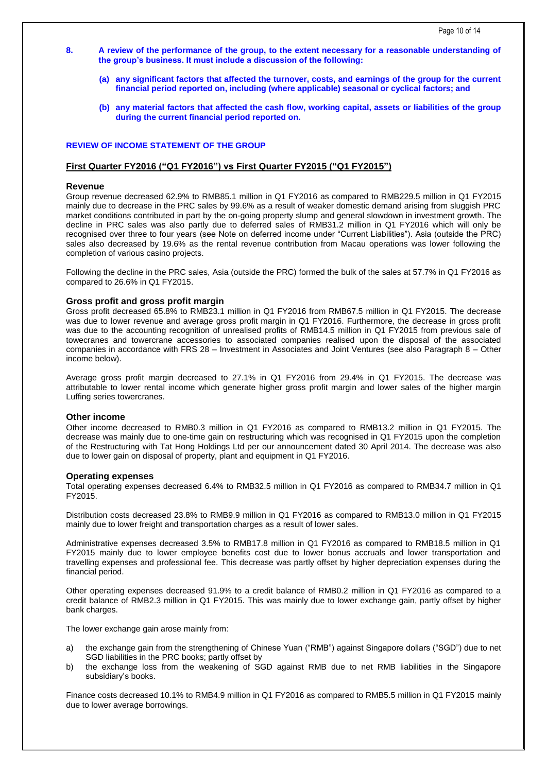- **8. A review of the performance of the group, to the extent necessary for a reasonable understanding of the group's business. It must include a discussion of the following:**
	- **(a) any significant factors that affected the turnover, costs, and earnings of the group for the current financial period reported on, including (where applicable) seasonal or cyclical factors; and**
	- **(b) any material factors that affected the cash flow, working capital, assets or liabilities of the group during the current financial period reported on.**

### **REVIEW OF INCOME STATEMENT OF THE GROUP**

## **First Quarter FY2016 ("Q1 FY2016") vs First Quarter FY2015 ("Q1 FY2015")**

#### **Revenue**

Group revenue decreased 62.9% to RMB85.1 million in Q1 FY2016 as compared to RMB229.5 million in Q1 FY2015 mainly due to decrease in the PRC sales by 99.6% as a result of weaker domestic demand arising from sluggish PRC market conditions contributed in part by the on-going property slump and general slowdown in investment growth. The decline in PRC sales was also partly due to deferred sales of RMB31.2 million in Q1 FY2016 which will only be recognised over three to four years (see Note on deferred income under "Current Liabilities"). Asia (outside the PRC) sales also decreased by 19.6% as the rental revenue contribution from Macau operations was lower following the completion of various casino projects.

Following the decline in the PRC sales, Asia (outside the PRC) formed the bulk of the sales at 57.7% in Q1 FY2016 as compared to 26.6% in Q1 FY2015.

#### **Gross profit and gross profit margin**

Gross profit decreased 65.8% to RMB23.1 million in Q1 FY2016 from RMB67.5 million in Q1 FY2015. The decrease was due to lower revenue and average gross profit margin in Q1 FY2016. Furthermore, the decrease in gross profit was due to the accounting recognition of unrealised profits of RMB14.5 million in Q1 FY2015 from previous sale of towecranes and towercrane accessories to associated companies realised upon the disposal of the associated companies in accordance with FRS 28 – Investment in Associates and Joint Ventures (see also Paragraph 8 – Other income below).

Average gross profit margin decreased to 27.1% in Q1 FY2016 from 29.4% in Q1 FY2015. The decrease was attributable to lower rental income which generate higher gross profit margin and lower sales of the higher margin Luffing series towercranes.

### **Other income**

Other income decreased to RMB0.3 million in Q1 FY2016 as compared to RMB13.2 million in Q1 FY2015. The decrease was mainly due to one-time gain on restructuring which was recognised in Q1 FY2015 upon the completion of the Restructuring with Tat Hong Holdings Ltd per our announcement dated 30 April 2014. The decrease was also due to lower gain on disposal of property, plant and equipment in Q1 FY2016.

#### **Operating expenses**

Total operating expenses decreased 6.4% to RMB32.5 million in Q1 FY2016 as compared to RMB34.7 million in Q1 FY2015.

Distribution costs decreased 23.8% to RMB9.9 million in Q1 FY2016 as compared to RMB13.0 million in Q1 FY2015 mainly due to lower freight and transportation charges as a result of lower sales.

Administrative expenses decreased 3.5% to RMB17.8 million in Q1 FY2016 as compared to RMB18.5 million in Q1 FY2015 mainly due to lower employee benefits cost due to lower bonus accruals and lower transportation and travelling expenses and professional fee. This decrease was partly offset by higher depreciation expenses during the financial period.

Other operating expenses decreased 91.9% to a credit balance of RMB0.2 million in Q1 FY2016 as compared to a credit balance of RMB2.3 million in Q1 FY2015. This was mainly due to lower exchange gain, partly offset by higher bank charges.

The lower exchange gain arose mainly from:

- a) the exchange gain from the strengthening of Chinese Yuan ("RMB") against Singapore dollars ("SGD") due to net SGD liabilities in the PRC books; partly offset by
- b) the exchange loss from the weakening of SGD against RMB due to net RMB liabilities in the Singapore subsidiary's books.

Finance costs decreased 10.1% to RMB4.9 million in Q1 FY2016 as compared to RMB5.5 million in Q1 FY2015 mainly due to lower average borrowings.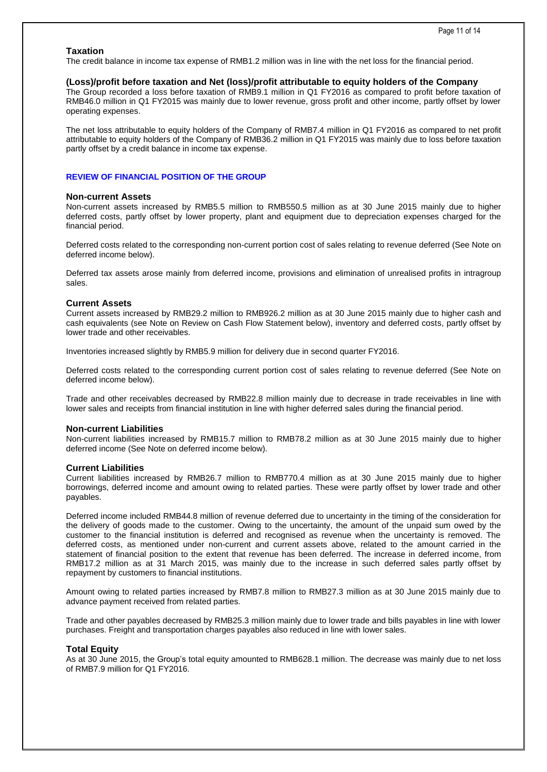### **Taxation**

The credit balance in income tax expense of RMB1.2 million was in line with the net loss for the financial period.

### **(Loss)/profit before taxation and Net (loss)/profit attributable to equity holders of the Company**

The Group recorded a loss before taxation of RMB9.1 million in Q1 FY2016 as compared to profit before taxation of RMB46.0 million in Q1 FY2015 was mainly due to lower revenue, gross profit and other income, partly offset by lower operating expenses.

The net loss attributable to equity holders of the Company of RMB7.4 million in Q1 FY2016 as compared to net profit attributable to equity holders of the Company of RMB36.2 million in Q1 FY2015 was mainly due to loss before taxation partly offset by a credit balance in income tax expense.

## **REVIEW OF FINANCIAL POSITION OF THE GROUP**

#### **Non-current Assets**

Non-current assets increased by RMB5.5 million to RMB550.5 million as at 30 June 2015 mainly due to higher deferred costs, partly offset by lower property, plant and equipment due to depreciation expenses charged for the financial period.

Deferred costs related to the corresponding non-current portion cost of sales relating to revenue deferred (See Note on deferred income below).

Deferred tax assets arose mainly from deferred income, provisions and elimination of unrealised profits in intragroup sales.

#### **Current Assets**

Current assets increased by RMB29.2 million to RMB926.2 million as at 30 June 2015 mainly due to higher cash and cash equivalents (see Note on Review on Cash Flow Statement below), inventory and deferred costs, partly offset by lower trade and other receivables.

Inventories increased slightly by RMB5.9 million for delivery due in second quarter FY2016.

Deferred costs related to the corresponding current portion cost of sales relating to revenue deferred (See Note on deferred income below).

Trade and other receivables decreased by RMB22.8 million mainly due to decrease in trade receivables in line with lower sales and receipts from financial institution in line with higher deferred sales during the financial period.

#### **Non-current Liabilities**

Non-current liabilities increased by RMB15.7 million to RMB78.2 million as at 30 June 2015 mainly due to higher deferred income (See Note on deferred income below).

#### **Current Liabilities**

Current liabilities increased by RMB26.7 million to RMB770.4 million as at 30 June 2015 mainly due to higher borrowings, deferred income and amount owing to related parties. These were partly offset by lower trade and other payables.

Deferred income included RMB44.8 million of revenue deferred due to uncertainty in the timing of the consideration for the delivery of goods made to the customer. Owing to the uncertainty, the amount of the unpaid sum owed by the customer to the financial institution is deferred and recognised as revenue when the uncertainty is removed. The deferred costs, as mentioned under non-current and current assets above, related to the amount carried in the statement of financial position to the extent that revenue has been deferred. The increase in deferred income, from RMB17.2 million as at 31 March 2015, was mainly due to the increase in such deferred sales partly offset by repayment by customers to financial institutions.

Amount owing to related parties increased by RMB7.8 million to RMB27.3 million as at 30 June 2015 mainly due to advance payment received from related parties.

Trade and other payables decreased by RMB25.3 million mainly due to lower trade and bills payables in line with lower purchases. Freight and transportation charges payables also reduced in line with lower sales.

#### **Total Equity**

As at 30 June 2015, the Group's total equity amounted to RMB628.1 million. The decrease was mainly due to net loss of RMB7.9 million for Q1 FY2016.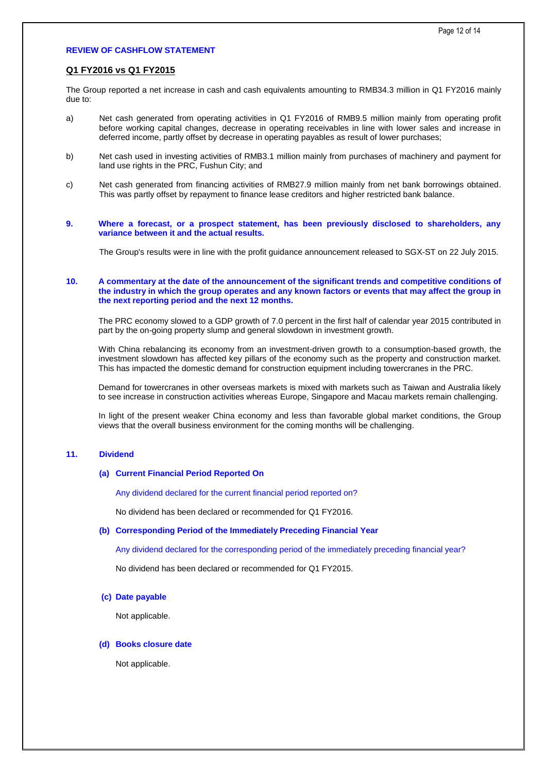## **REVIEW OF CASHFLOW STATEMENT**

# **Q1 FY2016 vs Q1 FY2015**

The Group reported a net increase in cash and cash equivalents amounting to RMB34.3 million in Q1 FY2016 mainly due to:

- a) Net cash generated from operating activities in Q1 FY2016 of RMB9.5 million mainly from operating profit before working capital changes, decrease in operating receivables in line with lower sales and increase in deferred income, partly offset by decrease in operating payables as result of lower purchases;
- b) Net cash used in investing activities of RMB3.1 million mainly from purchases of machinery and payment for land use rights in the PRC, Fushun City; and
- c) Net cash generated from financing activities of RMB27.9 million mainly from net bank borrowings obtained. This was partly offset by repayment to finance lease creditors and higher restricted bank balance.
- **9. Where a forecast, or a prospect statement, has been previously disclosed to shareholders, any variance between it and the actual results.**

The Group's results were in line with the profit guidance announcement released to SGX-ST on 22 July 2015.

#### **10. A commentary at the date of the announcement of the significant trends and competitive conditions of the industry in which the group operates and any known factors or events that may affect the group in the next reporting period and the next 12 months.**

The PRC economy slowed to a GDP growth of 7.0 percent in the first half of calendar year 2015 contributed in part by the on-going property slump and general slowdown in investment growth.

With China rebalancing its economy from an investment-driven growth to a consumption-based growth, the investment slowdown has affected key pillars of the economy such as the property and construction market. This has impacted the domestic demand for construction equipment including towercranes in the PRC.

Demand for towercranes in other overseas markets is mixed with markets such as Taiwan and Australia likely to see increase in construction activities whereas Europe, Singapore and Macau markets remain challenging.

In light of the present weaker China economy and less than favorable global market conditions, the Group views that the overall business environment for the coming months will be challenging.

#### **11. Dividend**

#### **(a) Current Financial Period Reported On**

Any dividend declared for the current financial period reported on?

No dividend has been declared or recommended for Q1 FY2016.

## **(b) Corresponding Period of the Immediately Preceding Financial Year**

Any dividend declared for the corresponding period of the immediately preceding financial year?

No dividend has been declared or recommended for Q1 FY2015.

#### **(c) Date payable**

Not applicable.

#### **(d) Books closure date**

Not applicable.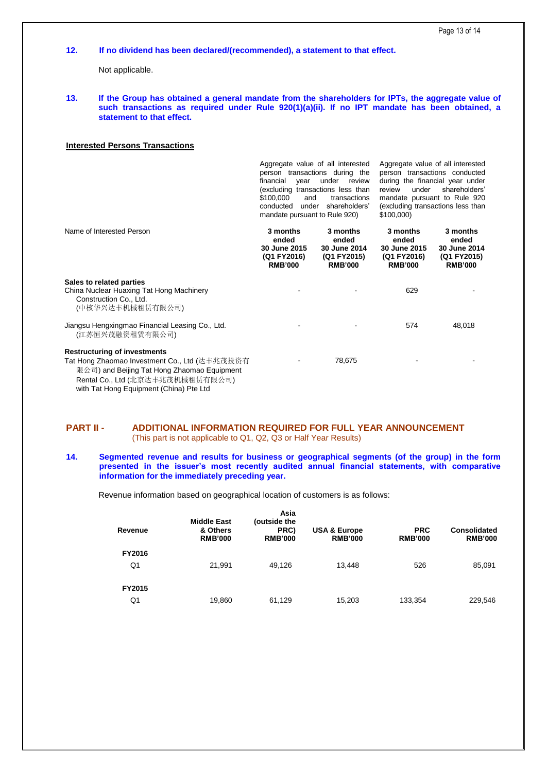### **12. If no dividend has been declared/(recommended), a statement to that effect.**

Not applicable.

**13. If the Group has obtained a general mandate from the shareholders for IPTs, the aggregate value of**  such transactions as required under Rule 920(1)(a)(ii). If no IPT mandate has been obtained, a **statement to that effect.**

## **Interested Persons Transactions**

Aggregate value of all interested person transactions during the financial year under review (excluding transactions less than<br>\$100,000 and transactions and transactions conducted under shareholders' mandate pursuant to Rule 920)

Aggregate value of all interested person transactions conducted during the financial year under review under shareholders' mandate pursuant to Rule 920 (excluding transactions less than \$100,000)

| Name of Interested Person                                                                                                                                                                                           | 3 months<br>ended<br><b>30 June 2015</b><br>(Q1 FY2016)<br><b>RMB'000</b> | 3 months<br>ended<br>30 June 2014<br>(Q1 FY2015)<br><b>RMB'000</b> | 3 months<br>ended<br>30 June 2015<br>(Q1 FY2016)<br><b>RMB'000</b> | 3 months<br>ended<br><b>30 June 2014</b><br>(Q1 FY2015)<br><b>RMB'000</b> |
|---------------------------------------------------------------------------------------------------------------------------------------------------------------------------------------------------------------------|---------------------------------------------------------------------------|--------------------------------------------------------------------|--------------------------------------------------------------------|---------------------------------------------------------------------------|
| Sales to related parties<br>China Nuclear Huaxing Tat Hong Machinery<br>Construction Co., Ltd.<br>(中核华兴达丰机械租赁有限公司)                                                                                                  |                                                                           |                                                                    | 629                                                                |                                                                           |
| Jiangsu Hengxingmao Financial Leasing Co., Ltd.<br>(江苏恒兴茂融资租赁有限公司)                                                                                                                                                  |                                                                           |                                                                    | 574                                                                | 48,018                                                                    |
| <b>Restructuring of investments</b><br>Tat Hong Zhaomao Investment Co., Ltd (达丰兆茂投资有<br>限公司) and Beijing Tat Hong Zhaomao Equipment<br>Rental Co., Ltd (北京达丰兆茂机械租赁有限公司)<br>with Tat Hong Foujoment (China) Pte I td |                                                                           | 78,675                                                             |                                                                    |                                                                           |

## **PART II - ADDITIONAL INFORMATION REQUIRED FOR FULL YEAR ANNOUNCEMENT**  (This part is not applicable to Q1, Q2, Q3 or Half Year Results)

**14. Segmented revenue and results for business or geographical segments (of the group) in the form presented in the issuer's most recently audited annual financial statements, with comparative information for the immediately preceding year.**

Revenue information based on geographical location of customers is as follows:

| Revenue | <b>Middle East</b><br>& Others<br><b>RMB'000</b> | Asia<br>(outside the<br>PRC)<br><b>RMB'000</b> | <b>USA &amp; Europe</b><br><b>RMB'000</b> | <b>PRC</b><br><b>RMB'000</b> | <b>Consolidated</b><br><b>RMB'000</b> |
|---------|--------------------------------------------------|------------------------------------------------|-------------------------------------------|------------------------------|---------------------------------------|
| FY2016  |                                                  |                                                |                                           |                              |                                       |
| Q1      | 21,991                                           | 49,126                                         | 13.448                                    | 526                          | 85,091                                |
| FY2015  |                                                  |                                                |                                           |                              |                                       |
| Q1      | 19,860                                           | 61,129                                         | 15,203                                    | 133,354                      | 229,546                               |